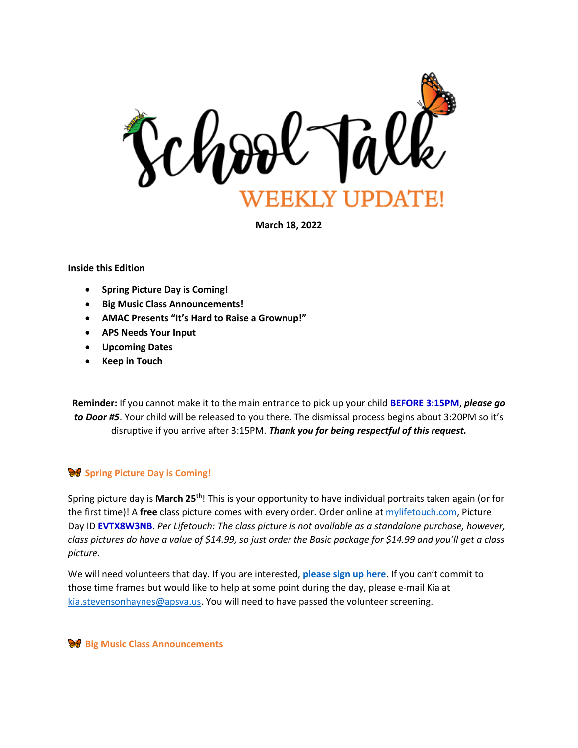

**March 18, 2022**

#### **Inside this Edition**

- **Spring Picture Day is Coming!**
- **Big Music Class Announcements!**
- **AMAC Presents "It's Hard to Raise a Grownup!"**
- **APS Needs Your Input**
- **Upcoming Dates**
- **Keep in Touch**

**Reminder:** If you cannot make it to the main entrance to pick up your child **BEFORE 3:15PM**, *please go to Door #5*. Your child will be released to you there. The dismissal process begins about 3:20PM so it's disruptive if you arrive after 3:15PM. *Thank you for being respectful of this request.*

## **Spring Picture Day is Coming!**

Spring picture day is **March 25th**! This is your opportunity to have individual portraits taken again (or for the first time)! A **free** class picture comes with every order. Order online a[t mylifetouch.com,](file:///C:/Users/kia.stevensonhaynes/Desktop/School%20Stuff/School%20Talks/School%20Talks/mylifetouch.com) Picture Day ID **EVTX8W3NB**. *Per Lifetouch: The class picture is not available as a standalone purchase, however, class pictures do have a value of \$14.99, so just order the Basic package for \$14.99 and you'll get a class picture.*

We will need volunteers that day. If you are interested, **[please sign up here](https://www.signupgenius.com/go/10C0D4FAFA629ABFDC07-spring)**. If you can't commit to those time frames but would like to help at some point during the day, please e-mail Kia at [kia.stevensonhaynes@apsva.us.](mailto:kia.stevensonhaynes@apsva.us) You will need to have passed the volunteer screening.

**Big Music Class Announcements**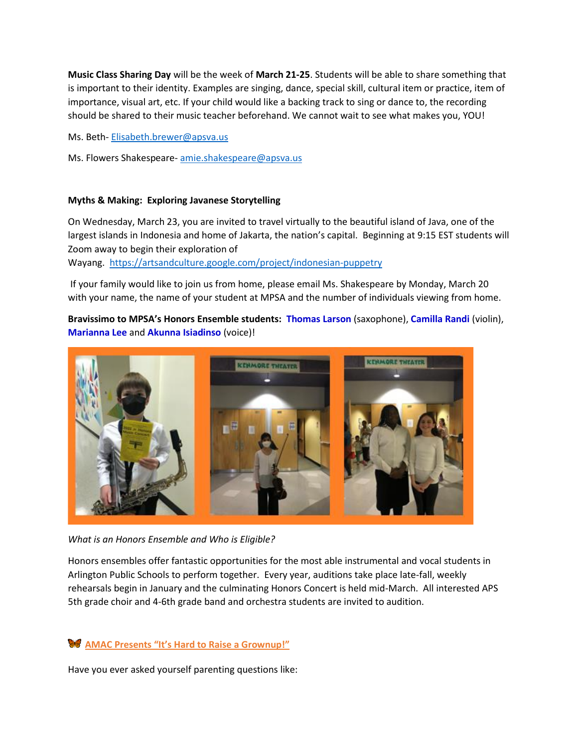**Music Class Sharing Day** will be the week of **March 21-25**. Students will be able to share something that is important to their identity. Examples are singing, dance, special skill, cultural item or practice, item of importance, visual art, etc. If your child would like a backing track to sing or dance to, the recording should be shared to their music teacher beforehand. We cannot wait to see what makes you, YOU!

Ms. Beth- [Elisabeth.brewer@apsva.us](mailto:Elisabeth.brewer@apsva.us)

Ms. Flowers Shakespeare- [amie.shakespeare@apsva.us](mailto:amie.shakespeare@apsva.us)

#### **Myths & Making: Exploring Javanese Storytelling**

On Wednesday, March 23, you are invited to travel virtually to the beautiful island of Java, one of the largest islands in Indonesia and home of Jakarta, the nation's capital. Beginning at 9:15 EST students will Zoom away to begin their exploration of

Wayang. <https://artsandculture.google.com/project/indonesian-puppetry>

If your family would like to join us from home, please email Ms. Shakespeare by Monday, March 20 with your name, the name of your student at MPSA and the number of individuals viewing from home.

**Bravissimo to MPSA's Honors Ensemble students: Thomas Larson** (saxophone), **Camilla Randi** (violin), **Marianna Lee** and **Akunna Isiadinso** (voice)!



*What is an Honors Ensemble and Who is Eligible?*

Honors ensembles offer fantastic opportunities for the most able instrumental and vocal students in Arlington Public Schools to perform together. Every year, auditions take place late-fall, weekly rehearsals begin in January and the culminating Honors Concert is held mid-March. All interested APS 5th grade choir and 4-6th grade band and orchestra students are invited to audition.

## **AMAC Presents "It's Hard to Raise a Grownup!"**

Have you ever asked yourself parenting questions like: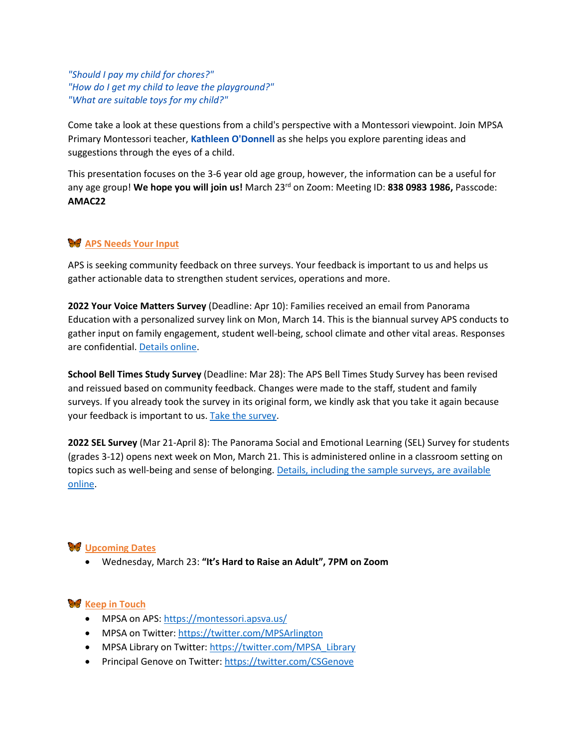*"Should I pay my child for chores?" "How do I get my child to leave the playground?" "What are suitable toys for my child?"* 

Come take a look at these questions from a child's perspective with a Montessori viewpoint. Join MPSA Primary Montessori teacher, **Kathleen O'Donnell** as she helps you explore parenting ideas and suggestions through the eyes of a child.

This presentation focuses on the 3-6 year old age group, however, the information can be a useful for any age group! **We hope you will join us!** March 23rd on Zoom: Meeting ID: **838 0983 1986,** Passcode: **AMAC22**

# **APS Needs Your Input**

APS is seeking community feedback on three surveys. Your feedback is important to us and helps us gather actionable data to strengthen student services, operations and more.

**2022 Your Voice Matters Survey** (Deadline: Apr 10): Families received an email from Panorama Education with a personalized survey link on Mon, March 14. This is the biannual survey APS conducts to gather input on family engagement, student well-being, school climate and other vital areas. Responses are confidential. [Details online.](http://track.spe.schoolmessenger.com/f/a/XfMjOGkz8akJeAVLUk93IQ~~/AAAAAQA~/RgRkFgO2P0SGaHR0cHM6Ly93d3cuYXBzdmEudXMvZW5nYWdlL3lvdXItdm9pY2UtbWF0dGVycy1zdXJ2ZXktMjAyMi8_dXRtX3NvdXJjZT1mNW1hcjE4JnV0bV9tZWRpdW09ZW1haWwmdXRtX2NhbXBhaWduPWZyaWRheTUmdXRtX2lkPXl2bS1zdXJ2ZXlXB3NjaG9vbG1CCmIqNtA0YiwvDYdSHGtpYS5zdGV2ZW5zb25oYXluZXNAYXBzdmEudXNYBAAAAAE~)

**School Bell Times Study Survey** (Deadline: Mar 28): The APS Bell Times Study Survey has been revised and reissued based on community feedback. Changes were made to the staff, student and family surveys. If you already took the survey in its original form, we kindly ask that you take it again because your feedback is important to us[. Take the survey.](http://track.spe.schoolmessenger.com/f/a/oHPO40wzBGsAOqUOCe-mnA~~/AAAAAQA~/RgRkFgO2P0SjaHR0cHM6Ly93d3cuYXBzdmEudXMvZW5nYWdlL2JlbGwtc3R1ZHktcHJvamVjdC9zY2hvb2wtYmVsbC10aW1lcy1wcm9qZWN0LXN1cnZleS8_dXRtX3NvdXJjZT1mNW1hcjE4JnV0bV9tZWRpdW09ZW1haWwmdXRtX2NhbXBhaWduPWZyaWRheTUmdXRtX2lkPWJlbGwtc3R1ZHktcHJvamVjdFcHc2Nob29sbUIKYio20DRiLC8Nh1Ica2lhLnN0ZXZlbnNvbmhheW5lc0BhcHN2YS51c1gEAAAAAQ~~)

**2022 SEL Survey** (Mar 21-April 8): The Panorama Social and Emotional Learning (SEL) Survey for students (grades 3-12) opens next week on Mon, March 21. This is administered online in a classroom setting on topics such as well-being and sense of belonging. [Details, including the sample surveys, are available](http://track.spe.schoolmessenger.com/f/a/moGaiRfwBgTsA4FEEU44Pg~~/AAAAAQA~/RgRkFgO2P0SsaHR0cHM6Ly93d3cuYXBzdmEudXMvc3R1ZGVudC1zZXJ2aWNlcy9zb2NpYWwtZW1vdGlvbmFsLWxlYXJuaW5nL3Bhbm9yYW1hLXN1cnZleS1kZXZlbG9wbWVudC8_dXRtX3NvdXJjZT1mNW1hcjE4JnV0bV9tZWRpdW09ZW1haWwmdXRtX2NhbXBhaWduPWZyaWRheTUmdXRtX2lkPXBhbm9yYW1hLXN1cnZleVcHc2Nob29sbUIKYio20DRiLC8Nh1Ica2lhLnN0ZXZlbnNvbmhheW5lc0BhcHN2YS51c1gEAAAAAQ~~)  [online.](http://track.spe.schoolmessenger.com/f/a/moGaiRfwBgTsA4FEEU44Pg~~/AAAAAQA~/RgRkFgO2P0SsaHR0cHM6Ly93d3cuYXBzdmEudXMvc3R1ZGVudC1zZXJ2aWNlcy9zb2NpYWwtZW1vdGlvbmFsLWxlYXJuaW5nL3Bhbm9yYW1hLXN1cnZleS1kZXZlbG9wbWVudC8_dXRtX3NvdXJjZT1mNW1hcjE4JnV0bV9tZWRpdW09ZW1haWwmdXRtX2NhbXBhaWduPWZyaWRheTUmdXRtX2lkPXBhbm9yYW1hLXN1cnZleVcHc2Nob29sbUIKYio20DRiLC8Nh1Ica2lhLnN0ZXZlbnNvbmhheW5lc0BhcHN2YS51c1gEAAAAAQ~~)

## **W** Upcoming Dates

• Wednesday, March 23: **"It's Hard to Raise an Adult", 7PM on Zoom**

## **W** Keep in Touch

- MPSA on APS[: https://montessori.apsva.us/](http://track.spe.schoolmessenger.com/f/a/S3F_MkyxYcS_YQJvFEzRmg~~/AAAAAQA~/RgRim9X0P0Q4aHR0cHM6Ly9tb250ZXNzb3JpLmFwc3ZhLnVzL3dlbGNvbWUtdG8tdGhlLW1wc2EtbGlicmFyeS9XB3NjaG9vbG1CCmC4dKK6YN-K68BSE0toYXluZXM3NEBnbWFpbC5jb21YBAAAAAE~)
- MPSA on Twitter: [https://twitter.com/MPSArlington](http://track.spe.schoolmessenger.com/f/a/8NESqKT-dpa7HzTGQMrpXQ~~/AAAAAQA~/RgRim9X0P0QgaHR0cHM6Ly90d2l0dGVyLmNvbS9NUFNBcmxpbmd0b25XB3NjaG9vbG1CCmC4dKK6YN-K68BSE0toYXluZXM3NEBnbWFpbC5jb21YBAAAAAE~)
- MPSA Library on Twitter: [https://twitter.com/MPSA\\_Library](http://track.spe.schoolmessenger.com/f/a/IAEK6B4wUos3z7WJPvXr2A~~/AAAAAQA~/RgRim9X0P0QgaHR0cHM6Ly90d2l0dGVyLmNvbS9NUFNBX0xpYnJhcnlXB3NjaG9vbG1CCmC4dKK6YN-K68BSE0toYXluZXM3NEBnbWFpbC5jb21YBAAAAAE~)
- Principal Genove on Twitter: [https://twitter.com/CSGenove](http://track.spe.schoolmessenger.com/f/a/OsON4uLo4LDAlpExfivvJw~~/AAAAAQA~/RgRim9X0P0QcaHR0cHM6Ly90d2l0dGVyLmNvbS9DU0dlbm92ZVcHc2Nob29sbUIKYLh0orpg34rrwFITS2hheW5lczc0QGdtYWlsLmNvbVgEAAAAAQ~~)